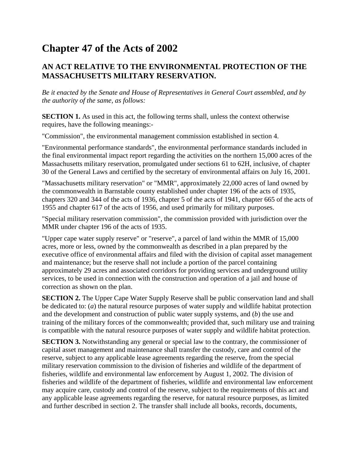## **Chapter 47 of the Acts of 2002**

## **AN ACT RELATIVE TO THE ENVIRONMENTAL PROTECTION OF THE MASSACHUSETTS MILITARY RESERVATION.**

*Be it enacted by the Senate and House of Representatives in General Court assembled, and by the authority of the same, as follows:*

**SECTION 1.** As used in this act, the following terms shall, unless the context otherwise requires, have the following meanings:-

"Commission", the environmental management commission established in section 4.

"Environmental performance standards", the environmental performance standards included in the final environmental impact report regarding the activities on the northern 15,000 acres of the Massachusetts military reservation, promulgated under sections 61 to 62H, inclusive, of chapter 30 of the General Laws and certified by the secretary of environmental affairs on July 16, 2001.

"Massachusetts military reservation" or "MMR", approximately 22,000 acres of land owned by the commonwealth in Barnstable county established under chapter 196 of the acts of 1935, chapters 320 and 344 of the acts of 1936, chapter 5 of the acts of 1941, chapter 665 of the acts of 1955 and chapter 617 of the acts of 1956, and used primarily for military purposes.

"Special military reservation commission", the commission provided with jurisdiction over the MMR under chapter 196 of the acts of 1935.

"Upper cape water supply reserve" or "reserve", a parcel of land within the MMR of 15,000 acres, more or less, owned by the commonwealth as described in a plan prepared by the executive office of environmental affairs and filed with the division of capital asset management and maintenance; but the reserve shall not include a portion of the parcel containing approximately 29 acres and associated corridors for providing services and underground utility services, to be used in connection with the construction and operation of a jail and house of correction as shown on the plan.

**SECTION 2.** The Upper Cape Water Supply Reserve shall be public conservation land and shall be dedicated to: (*a*) the natural resource purposes of water supply and wildlife habitat protection and the development and construction of public water supply systems, and (*b*) the use and training of the military forces of the commonwealth; provided that, such military use and training is compatible with the natural resource purposes of water supply and wildlife habitat protection.

**SECTION 3.** Notwithstanding any general or special law to the contrary, the commissioner of capital asset management and maintenance shall transfer the custody, care and control of the reserve, subject to any applicable lease agreements regarding the reserve, from the special military reservation commission to the division of fisheries and wildlife of the department of fisheries, wildlife and environmental law enforcement by August 1, 2002. The division of fisheries and wildlife of the department of fisheries, wildlife and environmental law enforcement may acquire care, custody and control of the reserve, subject to the requirements of this act and any applicable lease agreements regarding the reserve, for natural resource purposes, as limited and further described in section 2. The transfer shall include all books, records, documents,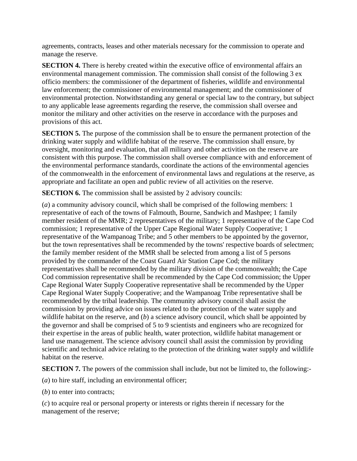agreements, contracts, leases and other materials necessary for the commission to operate and manage the reserve.

**SECTION 4.** There is hereby created within the executive office of environmental affairs an environmental management commission. The commission shall consist of the following 3 ex officio members: the commissioner of the department of fisheries, wildlife and environmental law enforcement; the commissioner of environmental management; and the commissioner of environmental protection. Notwithstanding any general or special law to the contrary, but subject to any applicable lease agreements regarding the reserve, the commission shall oversee and monitor the military and other activities on the reserve in accordance with the purposes and provisions of this act.

**SECTION 5.** The purpose of the commission shall be to ensure the permanent protection of the drinking water supply and wildlife habitat of the reserve. The commission shall ensure, by oversight, monitoring and evaluation, that all military and other activities on the reserve are consistent with this purpose. The commission shall oversee compliance with and enforcement of the environmental performance standards, coordinate the actions of the environmental agencies of the commonwealth in the enforcement of environmental laws and regulations at the reserve, as appropriate and facilitate an open and public review of all activities on the reserve.

**SECTION 6.** The commission shall be assisted by 2 advisory councils:

(*a*) a community advisory council, which shall be comprised of the following members: 1 representative of each of the towns of Falmouth, Bourne, Sandwich and Mashpee; 1 family member resident of the MMR; 2 representatives of the military; 1 representative of the Cape Cod commission; 1 representative of the Upper Cape Regional Water Supply Cooperative; 1 representative of the Wampanoag Tribe; and 5 other members to be appointed by the governor, but the town representatives shall be recommended by the towns' respective boards of selectmen; the family member resident of the MMR shall be selected from among a list of 5 persons provided by the commander of the Coast Guard Air Station Cape Cod; the military representatives shall be recommended by the military division of the commonwealth; the Cape Cod commission representative shall be recommended by the Cape Cod commission; the Upper Cape Regional Water Supply Cooperative representative shall be recommended by the Upper Cape Regional Water Supply Cooperative; and the Wampanoag Tribe representative shall be recommended by the tribal leadership. The community advisory council shall assist the commission by providing advice on issues related to the protection of the water supply and wildlife habitat on the reserve, and (*b*) a science advisory council, which shall be appointed by the governor and shall be comprised of 5 to 9 scientists and engineers who are recognized for their expertise in the areas of public health, water protection, wildlife habitat management or land use management. The science advisory council shall assist the commission by providing scientific and technical advice relating to the protection of the drinking water supply and wildlife habitat on the reserve.

**SECTION 7.** The powers of the commission shall include, but not be limited to, the following:-

(*a*) to hire staff, including an environmental officer;

(*b*) to enter into contracts;

(*c*) to acquire real or personal property or interests or rights therein if necessary for the management of the reserve;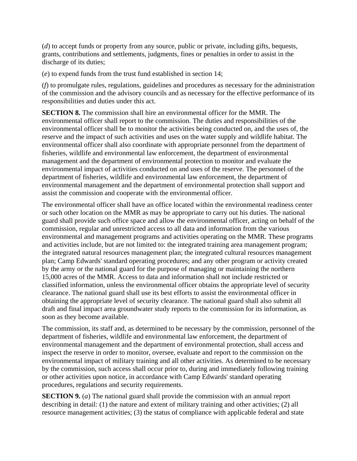(*d*) to accept funds or property from any source, public or private, including gifts, bequests, grants, contributions and settlements, judgments, fines or penalties in order to assist in the discharge of its duties;

(*e*) to expend funds from the trust fund established in section 14;

(*f*) to promulgate rules, regulations, guidelines and procedures as necessary for the administration of the commission and the advisory councils and as necessary for the effective performance of its responsibilities and duties under this act.

**SECTION 8.** The commission shall hire an environmental officer for the MMR. The environmental officer shall report to the commission. The duties and responsibilities of the environmental officer shall be to monitor the activities being conducted on, and the uses of, the reserve and the impact of such activities and uses on the water supply and wildlife habitat. The environmental officer shall also coordinate with appropriate personnel from the department of fisheries, wildlife and environmental law enforcement, the department of environmental management and the department of environmental protection to monitor and evaluate the environmental impact of activities conducted on and uses of the reserve. The personnel of the department of fisheries, wildlife and environmental law enforcement, the department of environmental management and the department of environmental protection shall support and assist the commission and cooperate with the environmental officer.

The environmental officer shall have an office located within the environmental readiness center or such other location on the MMR as may be appropriate to carry out his duties. The national guard shall provide such office space and allow the environmental officer, acting on behalf of the commission, regular and unrestricted access to all data and information from the various environmental and management programs and activities operating on the MMR. These programs and activities include, but are not limited to: the integrated training area management program; the integrated natural resources management plan; the integrated cultural resources management plan; Camp Edwards' standard operating procedures; and any other program or activity created by the army or the national guard for the purpose of managing or maintaining the northern 15,000 acres of the MMR. Access to data and information shall not include restricted or classified information, unless the environmental officer obtains the appropriate level of security clearance. The national guard shall use its best efforts to assist the environmental officer in obtaining the appropriate level of security clearance. The national guard shall also submit all draft and final impact area groundwater study reports to the commission for its information, as soon as they become available.

The commission, its staff and, as determined to be necessary by the commission, personnel of the department of fisheries, wildlife and environmental law enforcement, the department of environmental management and the department of environmental protection, shall access and inspect the reserve in order to monitor, oversee, evaluate and report to the commission on the environmental impact of military training and all other activities. As determined to be necessary by the commission, such access shall occur prior to, during and immediately following training or other activities upon notice, in accordance with Camp Edwards' standard operating procedures, regulations and security requirements.

**SECTION 9.** (*a*) The national guard shall provide the commission with an annual report describing in detail: (1) the nature and extent of military training and other activities; (2) all resource management activities; (3) the status of compliance with applicable federal and state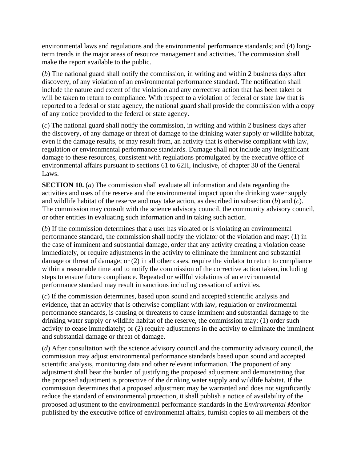environmental laws and regulations and the environmental performance standards; and (4) longterm trends in the major areas of resource management and activities. The commission shall make the report available to the public.

(*b*) The national guard shall notify the commission, in writing and within 2 business days after discovery, of any violation of an environmental performance standard. The notification shall include the nature and extent of the violation and any corrective action that has been taken or will be taken to return to compliance. With respect to a violation of federal or state law that is reported to a federal or state agency, the national guard shall provide the commission with a copy of any notice provided to the federal or state agency.

(*c*) The national guard shall notify the commission, in writing and within 2 business days after the discovery, of any damage or threat of damage to the drinking water supply or wildlife habitat, even if the damage results, or may result from, an activity that is otherwise compliant with law, regulation or environmental performance standards. Damage shall not include any insignificant damage to these resources, consistent with regulations promulgated by the executive office of environmental affairs pursuant to sections 61 to 62H, inclusive, of chapter 30 of the General Laws.

**SECTION 10.** (*a*) The commission shall evaluate all information and data regarding the activities and uses of the reserve and the environmental impact upon the drinking water supply and wildlife habitat of the reserve and may take action, as described in subsection (*b*) and (*c*). The commission may consult with the science advisory council, the community advisory council, or other entities in evaluating such information and in taking such action.

(*b*) If the commission determines that a user has violated or is violating an environmental performance standard, the commission shall notify the violator of the violation and may: (1) in the case of imminent and substantial damage, order that any activity creating a violation cease immediately, or require adjustments in the activity to eliminate the imminent and substantial damage or threat of damage; or (2) in all other cases, require the violator to return to compliance within a reasonable time and to notify the commission of the corrective action taken, including steps to ensure future compliance. Repeated or willful violations of an environmental performance standard may result in sanctions including cessation of activities.

(*c*) If the commission determines, based upon sound and accepted scientific analysis and evidence, that an activity that is otherwise compliant with law, regulation or environmental performance standards, is causing or threatens to cause imminent and substantial damage to the drinking water supply or wildlife habitat of the reserve, the commission may: (1) order such activity to cease immediately; or (2) require adjustments in the activity to eliminate the imminent and substantial damage or threat of damage.

(*d*) After consultation with the science advisory council and the community advisory council, the commission may adjust environmental performance standards based upon sound and accepted scientific analysis, monitoring data and other relevant information. The proponent of any adjustment shall bear the burden of justifying the proposed adjustment and demonstrating that the proposed adjustment is protective of the drinking water supply and wildlife habitat. If the commission determines that a proposed adjustment may be warranted and does not significantly reduce the standard of environmental protection, it shall publish a notice of availability of the proposed adjustment to the environmental performance standards in the *Environmental Monitor* published by the executive office of environmental affairs, furnish copies to all members of the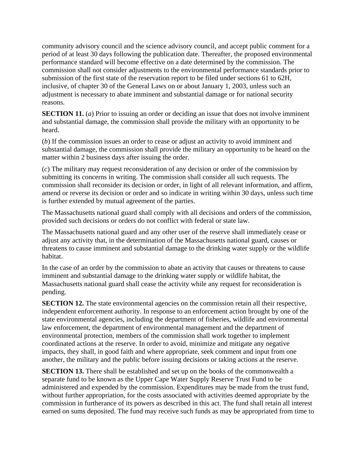community advisory council and the science advisory council, and accept public comment for a period of at least 30 days following the publication date. Thereafter, the proposed environmental performance standard will become effective on a date determined by the commission. The commission shall not consider adjustments to the environmental performance standards prior to submission of the first state of the reservation report to be filed under sections 61 to 62H, inclusive, of chapter 30 of the General Laws on or about January 1, 2003, unless such an adjustment is necessary to abate imminent and substantial damage or for national security reasons.

**SECTION 11.** (*a*) Prior to issuing an order or deciding an issue that does not involve imminent and substantial damage, the commission shall provide the military with an opportunity to be heard.

(*b*) If the commission issues an order to cease or adjust an activity to avoid imminent and substantial damage, the commission shall provide the military an opportunity to be heard on the matter within 2 business days after issuing the order.

(*c*) The military may request reconsideration of any decision or order of the commission by submitting its concerns in writing. The commission shall consider all such requests. The commission shall reconsider its decision or order, in light of all relevant information, and affirm, amend or reverse its decision or order and so indicate in writing within 30 days, unless such time is further extended by mutual agreement of the parties.

The Massachusetts national guard shall comply with all decisions and orders of the commission, provided such decisions or orders do not conflict with federal or state law.

The Massachusetts national guard and any other user of the reserve shall immediately cease or adjust any activity that, in the determination of the Massachusetts national guard, causes or threatens to cause imminent and substantial damage to the drinking water supply or the wildlife habitat.

In the case of an order by the commission to abate an activity that causes or threatens to cause imminent and substantial damage to the drinking water supply or wildlife habitat, the Massachusetts national guard shall cease the activity while any request for reconsideration is pending.

**SECTION 12.** The state environmental agencies on the commission retain all their respective, independent enforcement authority. In response to an enforcement action brought by one of the state environmental agencies, including the department of fisheries, wildlife and environmental law enforcement, the department of environmental management and the department of environmental protection, members of the commission shall work together to implement coordinated actions at the reserve. In order to avoid, minimize and mitigate any negative impacts, they shall, in good faith and where appropriate, seek comment and input from one another, the military and the public before issuing decisions or taking actions at the reserve.

**SECTION 13.** There shall be established and set up on the books of the commonwealth a separate fund to be known as the Upper Cape Water Supply Reserve Trust Fund to be administered and expended by the commission. Expenditures may be made from the trust fund, without further appropriation, for the costs associated with activities deemed appropriate by the commission in furtherance of its powers as described in this act. The fund shall retain all interest earned on sums deposited. The fund may receive such funds as may be appropriated from time to